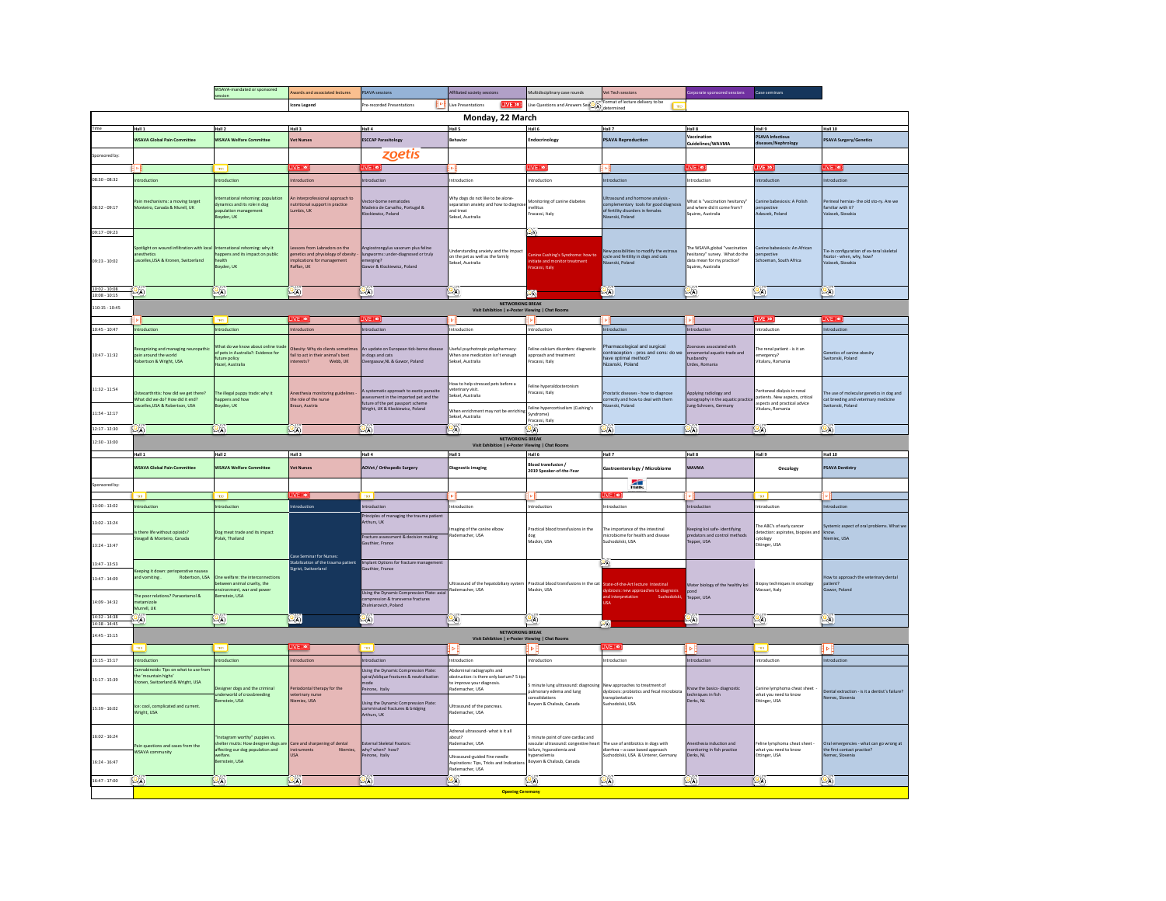|                                    |                                                                                                                                                          | WSAVA-mandated or sponsored                                                                                                      | <b>Awards and associated lectures</b>                                                                           | <b>PSAVA</b> sessions                                                                                                                                                              | Affiliated society sessions                                                                                                                                         | Multidisciplinary case rounds                                                                                                                        | Vet Tech sessions                                                                                               | Corporate sponsored sessions                                                                                        | Case seminars                                                                                                        |                                                                                                     |
|------------------------------------|----------------------------------------------------------------------------------------------------------------------------------------------------------|----------------------------------------------------------------------------------------------------------------------------------|-----------------------------------------------------------------------------------------------------------------|------------------------------------------------------------------------------------------------------------------------------------------------------------------------------------|---------------------------------------------------------------------------------------------------------------------------------------------------------------------|------------------------------------------------------------------------------------------------------------------------------------------------------|-----------------------------------------------------------------------------------------------------------------|---------------------------------------------------------------------------------------------------------------------|----------------------------------------------------------------------------------------------------------------------|-----------------------------------------------------------------------------------------------------|
|                                    |                                                                                                                                                          | session                                                                                                                          | Icons Legend                                                                                                    | Н۴<br>Pre-recorded Presentation                                                                                                                                                    | LIVE (io))<br>Live Presentations                                                                                                                                    | ive Questions and Answers Ses $\overbrace{(\textbf{A})}^{\text{left}}_{\text{dipforward}}$                                                           |                                                                                                                 |                                                                                                                     |                                                                                                                      |                                                                                                     |
|                                    |                                                                                                                                                          |                                                                                                                                  |                                                                                                                 |                                                                                                                                                                                    | Monday, 22 March                                                                                                                                                    |                                                                                                                                                      |                                                                                                                 |                                                                                                                     |                                                                                                                      |                                                                                                     |
|                                    | Hall 1                                                                                                                                                   | Hall 2                                                                                                                           | Hall 3                                                                                                          | Hall 4                                                                                                                                                                             | Hall 5                                                                                                                                                              | Hall 6                                                                                                                                               | Hall 7                                                                                                          | Hall 8                                                                                                              | Hall 9                                                                                                               | <b>Hall 10</b>                                                                                      |
|                                    | <b>WSAVA Global Pain Committee</b>                                                                                                                       | <b>WSAVA Welfare Committee</b>                                                                                                   | <b>Vet Nurses</b>                                                                                               | <b>ESCCAP Parasitology</b>                                                                                                                                                         | ehavior                                                                                                                                                             | Endocrinology                                                                                                                                        | <b>PSAVA Reproduction</b>                                                                                       | Vaccination<br>Guidelines/WAVMA                                                                                     | PSAVA Infectious<br>diseases/Nephrolog                                                                               | <b>PSAVA Surgery/Genetics</b>                                                                       |
| nsored by                          |                                                                                                                                                          |                                                                                                                                  |                                                                                                                 | zoetis                                                                                                                                                                             |                                                                                                                                                                     |                                                                                                                                                      |                                                                                                                 |                                                                                                                     |                                                                                                                      |                                                                                                     |
|                                    |                                                                                                                                                          |                                                                                                                                  | IVE to                                                                                                          | <b>WE troit</b>                                                                                                                                                                    |                                                                                                                                                                     | <b>IVE</b> tre                                                                                                                                       |                                                                                                                 | VE he                                                                                                               | IVE no                                                                                                               |                                                                                                     |
| 08:30 - 08:32                      | ntroduction                                                                                                                                              | troduction                                                                                                                       | ntroduction                                                                                                     | ntroduction                                                                                                                                                                        | ntroduction                                                                                                                                                         | ntroduction                                                                                                                                          | ntroduction                                                                                                     | Introduction                                                                                                        | <b>Introduction</b>                                                                                                  | ntroduction                                                                                         |
| 08:32 - 09:17                      | ain mechanisms: a moving target<br>Monteiro, Canada & Murell, UK                                                                                         | ternational rehoming: pop<br>vnamics and its role in dog<br>pulation management                                                  | An interprofessional approach to<br>nutritional support in practice<br>umbis, UK                                | /ector-borne nematodes<br>Madeira de Carvalho, Portugal &<br>Klockiewicz, Poland                                                                                                   | Why dogs do not like to be alone-<br>separation anxiety and how to diagnose<br>ind treat                                                                            | Monitoring of canine diabetes<br>mellitus<br>Fracassi, Italy                                                                                         | Ultrasound and hormone analysis<br>complementary tools for good diagnosis<br>f fertility disorders in females   | What is "vaccination hesitancy"<br>and where did it come from?<br>Squires, Australia                                | anine babesiosis: A Polish<br>erspective<br>Adaszek, Poland                                                          | erineal hernias- the old sto-ry. Are we<br>familiar with it?<br>Valasek, Slovakia                   |
|                                    |                                                                                                                                                          | oyden, UK                                                                                                                        |                                                                                                                 |                                                                                                                                                                                    | Seksel, Australia                                                                                                                                                   |                                                                                                                                                      | Nizanski Poland                                                                                                 |                                                                                                                     |                                                                                                                      |                                                                                                     |
| 09:17 - 09:23<br>09:23 - 10:02     | spotlight on wound infiltration with local<br>Lascelles, USA & Kronen, Switzerland                                                                       | nternational rehoming: why it<br>appens and its impact on public<br>ealth<br>oyden, UK                                           | Lessons from Labradors on the<br>genetics and physiology of obesity<br>nplications for management<br>Raffan, UK | Angiostrongylus vasorum plus feline<br>ungworms: under-diagnosed or truly<br>Sgrigen<br>Sawor & Klockiewicz, Poland                                                                | nderstanding anxiety and the impact<br>on the pet as well as the family<br>eksel, Australia                                                                         | Canine Cushing's Syndrome: how to<br>nitiate and monitor treatment<br>acassi, Italy                                                                  | lew possibilities to modify the estrous<br>cycle and fertility in dogs and cats<br>lizanski, Poland             | The WSAVA global "vaccination<br>resitancy" survey. What do the<br>data mean for my practice?<br>Squires, Australia | Canine babesiosis: An African<br>erspective<br>Schoeman, South Africa                                                | ie-in configuration of ex-teral skeleta<br>fixator - when, why, how?<br>Valasek, Slovakia           |
| 10:02 - 10:08<br>$10:08 - 10:15$   | $\mathbb{Q}_0$                                                                                                                                           | 9a)                                                                                                                              | $\mathbb{Q}$ a)                                                                                                 | $\mathcal{Q}_{\mathbf{A}}$                                                                                                                                                         | $\omega_{\text{A}}$                                                                                                                                                 | $\left[ 25\right]$                                                                                                                                   | ್ಗಾ                                                                                                             | ١º۵                                                                                                                 | $\mathbb{Q}_0$                                                                                                       | $\mathbb{R}$                                                                                        |
| 110:15 - 10:45                     |                                                                                                                                                          |                                                                                                                                  |                                                                                                                 |                                                                                                                                                                                    | <b>NETWORKING BREAK</b><br>Visit Exhibition   e-Poster Viewing   Chat Roo                                                                                           |                                                                                                                                                      |                                                                                                                 |                                                                                                                     |                                                                                                                      |                                                                                                     |
|                                    |                                                                                                                                                          | TRO.                                                                                                                             | <b>LIVE (10)</b>                                                                                                | LIVE <b>(io)</b>                                                                                                                                                                   |                                                                                                                                                                     |                                                                                                                                                      |                                                                                                                 |                                                                                                                     | IVE 801                                                                                                              | <b>LIVE (10)</b>                                                                                    |
| $10-45 - 10-47$                    | ntroduction                                                                                                                                              | troduction                                                                                                                       | Introduction                                                                                                    | Introduction                                                                                                                                                                       | ntroduction                                                                                                                                                         | Introduction                                                                                                                                         | ntroduction                                                                                                     | Introduction                                                                                                        | ntroduction                                                                                                          | Introduction                                                                                        |
| $10:47 - 11:32$                    | Recognizing and managing<br>pain around the world<br>obertson & Wright, USA                                                                              | Vhat do we know about online trad<br>of pets in Australia?: Evidence for<br>ture policy<br>lazel, Australia                      | Obesity: Why do clients sometim<br>fail to act in their animal's best<br>Webb, UK<br>nterests?                  | update on European tick-borne disease<br>in dogs and cats<br>Wergaauw, NL & Gawor, Poland                                                                                          | seful psychotropic polypharmacy:<br>When one medication isn't enough<br>Seksel, Australia                                                                           | eline calcium disorders: diagnosti<br>approach and treatment<br>Fracassi, Italy                                                                      | harmacological and surgical<br>contraception - pros and cons: do we<br>have optimal method?<br>Nizanski, Poland | oonoses associated with<br>ornamental aquatic trade and<br>husbandry<br>Urdes, Romania                              | he renal patient - is it an<br>emergency?<br>Vitalaru, Romania                                                       | Genetics of canine obesity<br>witonski, Poland                                                      |
| $11:32 - 11:54$<br>$11:54 - 12:17$ | Isteoarthritis: how did we get there?<br>What did we do? How did it end?<br>scelles, USA & Robertson, USA                                                | he illegal puppy trade: why it<br>appens and how<br>oyden, UK                                                                    | Inesthesia monitoring guidelines<br>the role of the nurse<br>Braun, Austria                                     | A systematic approach to exotic parasite<br>ssessment in the imported pet and the<br>future of the pet passport scheme<br>Wright, UK & Klockiewicz, Poland                         | ow to help stressed pets before a<br>eterinary visit<br>Seksel Australia<br>When enrichment may not be enriching<br>Seksel, Australia                               | eline hyneraldost<br>Fracassi, Italy<br>Feline hypercortisolism (Cushing's<br>Syndrome)<br>Fracassi, Italy                                           | rostatic diseases - how to diagnose<br>correctly and how to deal with them<br><b>Vizanski, Poland</b>           | Applying radiology and<br>sonography in the aquatic practic<br>lung-Schroers, Germany                               | Peritoneal dialysis in renal<br>patients. New aspects, critical<br>aspects and practical advice<br>vitalaru, Romania | he use of molecular genetics in dog and<br>cat breeding and veterinary medicine<br>witonski, Poland |
| $12:17 - 12:30$                    | $\circ$                                                                                                                                                  | $\mathbb{Q}_\mathbb{A}$                                                                                                          | $\mathbb{Q}$ a)                                                                                                 | $Q_{\rm A}$                                                                                                                                                                        | $\mathbb{Q}_A$                                                                                                                                                      | $\mathbb{Q}(\mathbb{A})$                                                                                                                             | $\mathcal{Q}_A$                                                                                                 | $\mathbb{Q}$                                                                                                        | $Q_{\overline{A}}$                                                                                                   | $\mathbb{Q}$                                                                                        |
| $12:30 - 13:00$                    |                                                                                                                                                          |                                                                                                                                  |                                                                                                                 |                                                                                                                                                                                    | NETWORKING RREAK                                                                                                                                                    |                                                                                                                                                      |                                                                                                                 |                                                                                                                     |                                                                                                                      |                                                                                                     |
|                                    | Hall 1                                                                                                                                                   | Hall 2                                                                                                                           | Hall 3                                                                                                          | Hall 4                                                                                                                                                                             | Visit Exhibition   e-Poster Viewing   Chat Rooms<br>Hall 5                                                                                                          | Hall 6                                                                                                                                               | Hall 7                                                                                                          | Hall 8                                                                                                              | Hall 9                                                                                                               | Hall 10                                                                                             |
|                                    | <b>NSAVA Global Pain Committee</b>                                                                                                                       | <b>SAVA Welfare Committee</b>                                                                                                    | <b>Vet Nurses</b>                                                                                               | AOVet / Orthopedic Surgery                                                                                                                                                         | iagnostic imaging                                                                                                                                                   | Blood transfusion /<br>2019 Speaker-of-the-Year                                                                                                      | <b>Sastroenterology / Microbiom</b>                                                                             | <b>WAVMA</b>                                                                                                        | Oncology                                                                                                             | SAVA Dentistry                                                                                      |
| Sponsored by:                      |                                                                                                                                                          |                                                                                                                                  |                                                                                                                 |                                                                                                                                                                                    |                                                                                                                                                                     |                                                                                                                                                      | Æ                                                                                                               |                                                                                                                     |                                                                                                                      |                                                                                                     |
|                                    | TBO.                                                                                                                                                     | TBD.                                                                                                                             | LIVE (io)                                                                                                       | TBD                                                                                                                                                                                |                                                                                                                                                                     |                                                                                                                                                      |                                                                                                                 |                                                                                                                     | 180                                                                                                                  |                                                                                                     |
| 13:00 - 13:02                      | troduction                                                                                                                                               | troduction                                                                                                                       | troduction                                                                                                      | ntroduction                                                                                                                                                                        | troduction                                                                                                                                                          | ntroduction                                                                                                                                          | troduction                                                                                                      | Introduction                                                                                                        | ntroduction                                                                                                          | ntroduction                                                                                         |
| $13:02 - 13:24$<br>13:24 - 13:47   | Is there life without opioids?<br>Steagall & Monteiro, Canada                                                                                            | Dog meat trade and its impact<br>olak, Thailand                                                                                  |                                                                                                                 | Principles of managing the trauma patient<br>Arthurs, UK<br>Fracture assessment & decision making<br>Sauthier, France                                                              | maging of the canine elbow<br>ademacher, USA                                                                                                                        | Practical blood transfusions in the<br>dog<br>Markin USA                                                                                             | The importance of the intestinal<br>nicrobiome for health and disease<br>Surhodolski USA                        | Keeping koj safe- identifying<br>predators and control methods<br>.<br>Tepper, USA                                  | The ABC's of early cancer<br>detection: aspirates, biopsies and<br>cytology<br>Ettinger, USA                         | Systemic aspect of oral proble<br>know<br>Niemiec, USA                                              |
|                                    |                                                                                                                                                          |                                                                                                                                  | Case Seminar for Nurses:                                                                                        | Implant Options for fracture management                                                                                                                                            |                                                                                                                                                                     |                                                                                                                                                      | $\left  \mathbf{0}\right\rangle$                                                                                |                                                                                                                     |                                                                                                                      |                                                                                                     |
| $13:47 - 13:53$                    | eeping it down: perioperative nauses                                                                                                                     |                                                                                                                                  | Stabilization of the trauma patient<br>igrist, Switzerland                                                      | uthier, France                                                                                                                                                                     |                                                                                                                                                                     |                                                                                                                                                      |                                                                                                                 |                                                                                                                     |                                                                                                                      | low to approach the veterinary de                                                                   |
| 13:47 - 14:09<br>14:09 - 14:32     | and vomiting.<br>Robertson, USA<br>The noor relations? Paracetamol &<br>etami:<br>Murrell LIK                                                            | Ine welfare: the interconnections<br>etween animal cruelty, the<br>vironment, war and power<br>ernstein, USA                     |                                                                                                                 | sing the Dynamic Compression Plate: axia<br>mpression & transverse fractures<br>halniarovich, Poland                                                                               | Ultrasound of the hepatobiliary system<br>Rademacher, USA                                                                                                           | Practical blood transfusions in the cat<br>Mackin, USA                                                                                               | tate-of-the-Art lecture Intestinal<br>ysbiosis: new approaches to diagnosi<br>ıd in                             | Water biology of the healthy koi<br>pond<br>Tepper, USA                                                             | Biopsy techniques in oncology<br>Massari, Italy                                                                      | patient?<br>Gawor, Poland                                                                           |
| $14:32 - 14:38$<br>14:38 - 14:45   | 2a                                                                                                                                                       | $\mathbf{a}$                                                                                                                     | $Q_A$                                                                                                           | $\mathbf{a}$                                                                                                                                                                       | $\mathcal{Q}_A$                                                                                                                                                     | $\mathbb{Q}$ a)                                                                                                                                      | $\left( 0_{\text{A}}\right)$                                                                                    | $\mathbf{a}$                                                                                                        | $\mathbf{a}$                                                                                                         | $\mathbb{Q}$ A)                                                                                     |
| $14:45 - 15:15$                    |                                                                                                                                                          |                                                                                                                                  |                                                                                                                 |                                                                                                                                                                                    | NETWORKING BREAK<br>Visit Exhibition   e-Poster Viewing   Chat Rooms                                                                                                |                                                                                                                                                      |                                                                                                                 |                                                                                                                     |                                                                                                                      |                                                                                                     |
|                                    |                                                                                                                                                          |                                                                                                                                  | <b>IME troit</b>                                                                                                | TRO I                                                                                                                                                                              | H⊳F                                                                                                                                                                 | H⊳F                                                                                                                                                  | IVE to                                                                                                          | H⊳H                                                                                                                 |                                                                                                                      | H⊳F                                                                                                 |
| $15:15 - 15:17$                    | ntroduction                                                                                                                                              | troduction                                                                                                                       | ntroduction                                                                                                     | Introduction                                                                                                                                                                       | ntroduction                                                                                                                                                         | Introduction                                                                                                                                         | ntroduction                                                                                                     | Introduction                                                                                                        | Introduction                                                                                                         | Introduction                                                                                        |
| $15:17 - 15:39$<br>15:39 - 16:02   | Cannabinoids: Tips on what to use from<br>the 'mountain highs'<br>Kronen, Switzerland & Wright, USA<br>ce: cool, complicated and current.<br>Wright, USA | lesigner dogs and the criminal<br>nderworld of crossbreeding<br>ernstein, USA                                                    | eriodontal therapy for the<br>veterinary nurse<br>Niemiec, USA                                                  | Using the Dynamic Compression Plate:<br>spiral/oblique fractures & neutralisation<br>mode<br>Peirone, Italiy<br>Using the Dynamic Compression Plate:<br>tuted fractures & bridging | bdominal radiographs and<br>obstruction: is there only barium? 5 tip:<br>improve your diagnosis.<br>ademacher, USA<br>Ultrasound of the pancreas.<br>ademacher, USA | minute lung ultrasound: diagnos<br>sulmonary edema and lung<br>consolidations<br><b>Sovsen &amp; Chaloub, Canada</b>                                 | New approaches to treatment of<br>dyshiosis: probjotics and fecal microbiota<br>ransplantation<br>urhodokki USA | Know the basics- diagnostic<br>techniques in fish<br>Derks, NL                                                      | Canine lymphoma cheat sheet -<br>what you need to know<br>Ettinger, USA                                              | bental extraction - is it a dentist's failure?<br>Nemec, Slovenia                                   |
| 16:02 - 16:24<br>$16:24 - 16:47$   | Pain questions and cases from the<br>WSAVA community                                                                                                     | instagram worthy" nunnies ys<br>helter mutts: How designer dogs are<br>ffecting our dog population and<br>velfare<br>mstein, USA | Care and sharpening of dental<br>instruments<br><b>USA</b>                                                      | Arthurs, UK<br>ixternal Skeletal Fixators:<br>why? when? how?<br>Peirone, Italiy                                                                                                   | Adrenal ultrasound- what is it all<br>Stunds<br>ademacher, USA<br>Jltrasound-guided Fine needle<br>Aspirations: Tips, Tricks and Indication<br>demacher, USA        | minute point of care cardiac and<br>vascular ultrasound: congestive heart<br>ailure, hypovolemia and<br>hypervolemia<br>.<br>oysen & Chaloub, Canada | The use of antibiotics in dogs with<br>liarrhea - a case based approach<br>suchodolski, USA & Unterer, Germany  | Anesthesia induction and<br>nonitoring in fish practice<br>Derks, NL                                                | Feline lymphoma cheat sheet -<br>what you need to know<br>Ettinger, USA                                              | Oral emergencies - what can go wrong at<br>the first contact practice?<br>Nemec, Slovenia           |
| $16:47 - 17:00$                    | $\omega_0$                                                                                                                                               | $\omega_{\text{A}}$                                                                                                              | $\mathbb{Q}$ a)                                                                                                 | $\mathbb{R}$                                                                                                                                                                       | $\mathbb{Q}$ A)                                                                                                                                                     | $\mathbb{Q}_0$                                                                                                                                       | (O)                                                                                                             | $\mathbb{Q}$                                                                                                        | $\mathbb{Q}_0$                                                                                                       | $\omega_0$                                                                                          |
|                                    |                                                                                                                                                          |                                                                                                                                  |                                                                                                                 |                                                                                                                                                                                    | <b>Opening Ceremony</b>                                                                                                                                             |                                                                                                                                                      |                                                                                                                 |                                                                                                                     |                                                                                                                      |                                                                                                     |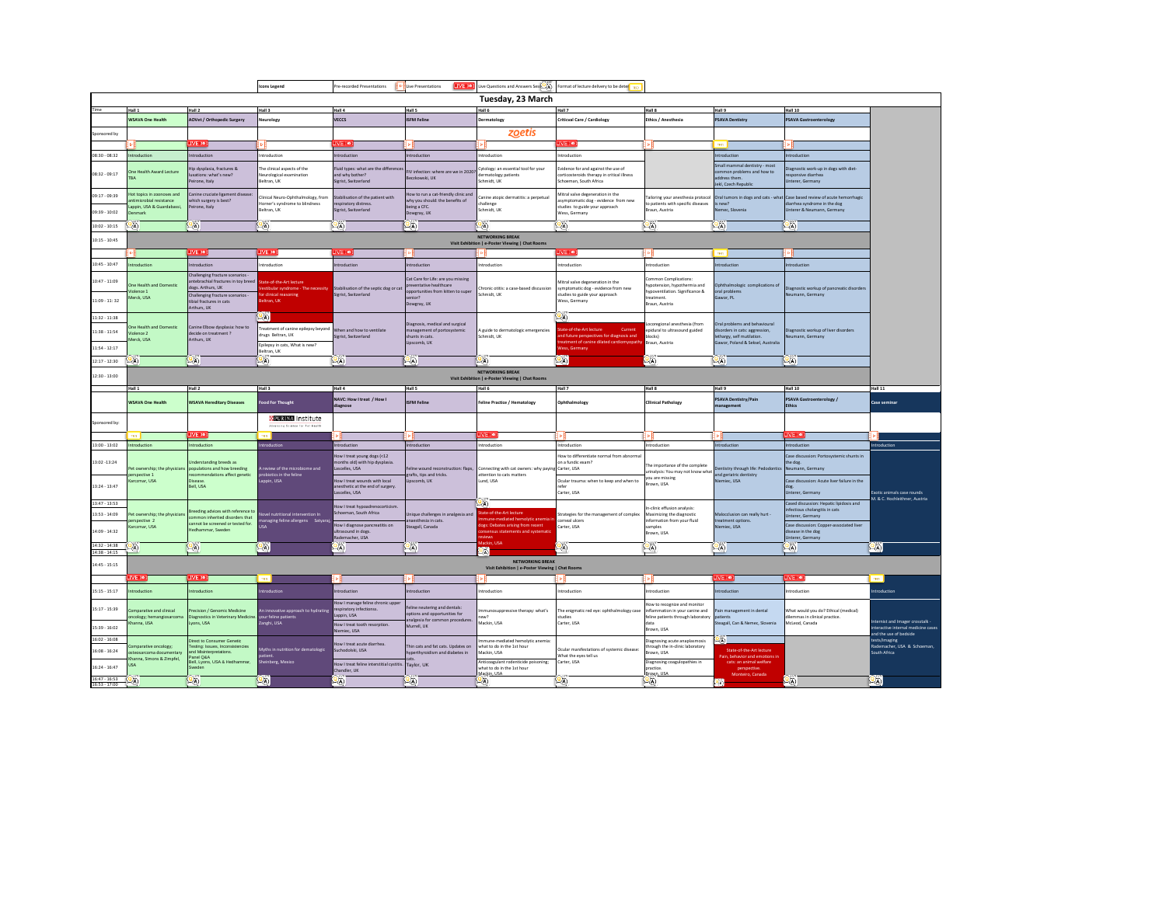|                                                       |                                                                                              |                                                                                                                                                                             | <b>Icons Legend</b>                                                                                              | Pre-recorded Presentations                                                                                                              | LIVE (io)<br>I D I Live Presentations                                                                                         | Live Questions and Answers Sess-A)                                                                                                      | Format of lecture delivery to be deter                                                                                                              |                                                                                                                              |                                                                                                                                   |                                                                                                                                           |                                                                        |
|-------------------------------------------------------|----------------------------------------------------------------------------------------------|-----------------------------------------------------------------------------------------------------------------------------------------------------------------------------|------------------------------------------------------------------------------------------------------------------|-----------------------------------------------------------------------------------------------------------------------------------------|-------------------------------------------------------------------------------------------------------------------------------|-----------------------------------------------------------------------------------------------------------------------------------------|-----------------------------------------------------------------------------------------------------------------------------------------------------|------------------------------------------------------------------------------------------------------------------------------|-----------------------------------------------------------------------------------------------------------------------------------|-------------------------------------------------------------------------------------------------------------------------------------------|------------------------------------------------------------------------|
|                                                       |                                                                                              |                                                                                                                                                                             |                                                                                                                  |                                                                                                                                         |                                                                                                                               | Tuesday, 23 March                                                                                                                       |                                                                                                                                                     |                                                                                                                              |                                                                                                                                   |                                                                                                                                           |                                                                        |
|                                                       | Hall 1                                                                                       | Hall 2                                                                                                                                                                      | Hall 3                                                                                                           | Hall 4                                                                                                                                  | Hall 5                                                                                                                        | Hall 6                                                                                                                                  | Hall 7                                                                                                                                              | Hall 8                                                                                                                       | Hall 9                                                                                                                            | <b>Hall 10</b>                                                                                                                            |                                                                        |
|                                                       | WSAVA One Health                                                                             | <b>AOVet / Orthopedic Surgery</b>                                                                                                                                           | leurology                                                                                                        | <b>VECCS</b>                                                                                                                            | <b>ISFM Feline</b>                                                                                                            | Dermatology                                                                                                                             | Criticval Care / Cardiology                                                                                                                         | Ethics / Anesthesia                                                                                                          | <b>PSAVA Dentistry</b>                                                                                                            | <b>PSAVA Gastroenterology</b>                                                                                                             |                                                                        |
| oonsored by                                           |                                                                                              |                                                                                                                                                                             |                                                                                                                  |                                                                                                                                         |                                                                                                                               | zoetis                                                                                                                                  |                                                                                                                                                     |                                                                                                                              |                                                                                                                                   |                                                                                                                                           |                                                                        |
|                                                       |                                                                                              | <b>IVE (io))</b>                                                                                                                                                            |                                                                                                                  | IVE (io))                                                                                                                               |                                                                                                                               |                                                                                                                                         | VE (ioi)                                                                                                                                            |                                                                                                                              | This.                                                                                                                             |                                                                                                                                           |                                                                        |
| 08:30 - 08:32                                         | troduction                                                                                   | Introduction                                                                                                                                                                | Introduction                                                                                                     | ntroduction                                                                                                                             | ntroduction                                                                                                                   | Introduction                                                                                                                            | Introduction                                                                                                                                        |                                                                                                                              | Introduction                                                                                                                      | ntroduction                                                                                                                               |                                                                        |
| 08:32 - 09:17                                         | One Health Award Lecture<br><b>TRA</b>                                                       | Hip dysplasia, fractures &<br>luxations: what's new?<br>Peirone, Italy                                                                                                      | The clinical aspects of the<br>Neurological examination<br>Beltran, UK                                           | Fluid types: what are the differeno<br>and why bother?<br>Sigrist, Switzerland                                                          | FIV infection: where are we in 2020?<br>Beczkowski, UK                                                                        | Cytology: an essential tool for your<br>dermatology patients<br>Schmidt, UK                                                             | vidence for and against the use of<br>corticosteroids therapy in critical illness<br>Schoeman, South Africa                                         |                                                                                                                              | Small mammal dentistry - most<br>common problems and how to<br>address them.<br>Jekl Czech Regublic                               | iagnostic work-up in dogs with diet-<br>esponsive diarrhea<br>Interer, Germany                                                            |                                                                        |
| 09:17 - 09:39<br>09:39 - 10:02                        | hns asonons ni animat tol-<br>ntimicrobial resistance<br>appin, USA & Guardabassi.<br>enmark | Canine cruciate ligament disease<br>which surgery is best?<br>Peirone, Italy                                                                                                | Clinical Neuro-Ophthalmology, from<br>Horner's syndrome to blindness<br>Beltran, UK                              | Stabilisation of the patient with<br>respiratory distress.<br>Sigrist, Switzerland                                                      | How to run a cat-friendly clinic and<br>why you should: the benefits of<br>being a CFC.<br>Dowgray, UK                        | Canine atopic dermatitis: a perpetual<br>challenge<br>Schmidt, UK                                                                       | Mitral valve degeneration in the<br>symptomatic dog - evidence from new<br>studies to guide your approach<br>Wess, Germany                          | ailoring your anesthesia protocol<br>to patients with specific diseases<br>Braun, Austria                                    | Oral tumors in does and cats - what<br>is new?<br>Nemec, Slovenia                                                                 | Case based review of acute hemorrhagic<br>diarrhea syndrome in the dog<br>Unterer & Neumann, Germany                                      |                                                                        |
| $10:02 - 10:15$                                       | $\mathbb{Q}_0$                                                                               | 95.                                                                                                                                                                         | (CA)                                                                                                             | $Q_{\mathbb{A}}$                                                                                                                        | $2\pi$                                                                                                                        | Юħ,                                                                                                                                     | (O)                                                                                                                                                 | $\mathbb{Q}_0$                                                                                                               | $Q_{\mathbb{A}}$                                                                                                                  | $Q_{\mathbb{A}}$                                                                                                                          |                                                                        |
|                                                       |                                                                                              |                                                                                                                                                                             |                                                                                                                  |                                                                                                                                         |                                                                                                                               | NETWORKING BREAK                                                                                                                        |                                                                                                                                                     |                                                                                                                              |                                                                                                                                   |                                                                                                                                           |                                                                        |
| $10:15 - 10:45$                                       |                                                                                              |                                                                                                                                                                             |                                                                                                                  |                                                                                                                                         |                                                                                                                               | Visit Exhibition   e-Poster Viewing   Chat Rooms                                                                                        |                                                                                                                                                     |                                                                                                                              |                                                                                                                                   |                                                                                                                                           |                                                                        |
|                                                       |                                                                                              | VE 10                                                                                                                                                                       | IVE 10                                                                                                           | VE tro:                                                                                                                                 | ъΗ                                                                                                                            | ⊪⊪                                                                                                                                      | IVE to:                                                                                                                                             | ł۰H                                                                                                                          | TRO.                                                                                                                              |                                                                                                                                           |                                                                        |
| $10:45 - 10:47$                                       | troduction                                                                                   | Introduction                                                                                                                                                                | ntroduction                                                                                                      | ntroduction                                                                                                                             | Introduction                                                                                                                  | Introduction                                                                                                                            | Introduction                                                                                                                                        | ntroduction                                                                                                                  | Introduction                                                                                                                      | ntroduction                                                                                                                               |                                                                        |
| $10:47 - 11:09$<br>11:09 - 11:32                      | One Health and Domestic<br>fiolence 1<br><b>Merck, USA</b>                                   | Challenging fracture scenarios -<br>antebrachial fractures in toy breed<br>dogs. Arthurs, UK<br>Challenging fracture scenarios -<br>tibial fractures in cats<br>Arthurs, UK | ate-of-the-Art lecture<br>stibular syndrome - The<br>r clinical reasoning<br>Htran, UK                           | Stabilisation of the septic dog or ca<br>Sigrist, Switzerland                                                                           | Cat Care for Life: are you missing<br>preventative healthcare<br>poportunities from kitten to super<br>senior?<br>Dowgray, UK | Chronic otitis: a case-based discussion<br>Schmidt, UK                                                                                  | Mitral valve degeneration in the<br>symptomatic dog - evidence from new<br>studies to guide your approach<br>Wess, Germany                          | Common Complications<br>hypotension, hypothermia and<br>wooventilation. Significance &<br>treatment.<br><b>Braun Austria</b> | Ophthalmologic complications of<br>oral problems<br>Gawor, PL                                                                     | Diagnostic workup of pancreatic disorders<br>Neumann, Germany                                                                             |                                                                        |
| $11:32 - 11:38$<br>$11:38 - 11:54$<br>$11:54 - 12:17$ | One Health and Domestic<br>fiolence <sub>2</sub><br>Merck, USA                               | Canine Elbow dysplasia: how to<br>decide on treatment?<br>Arthurs, UK                                                                                                       | l9a)<br>reatment of canine epilepsy beyond<br>drugs Beltran, UK<br>Epilepsy in cats, What is new?<br>leltran, UK | When and how to ventilate<br>Sigrist, Switzerland                                                                                       | Diagnosis, medical and surgical<br>management of portosystemic<br>shunts in cats.<br>Lipscomb, UK                             | A guide to dermatologic emergencies<br>Schmidt, UK                                                                                      | ್ಲಿಗಾ<br>ate-of-the-Art lecture<br>Current<br>ind future perspectives for diagnosis and<br>eatment of canine dilated cardiomyopati<br>Vess, Germany | ocoregional anesthesia (from<br>epidural to ultrasound guided<br>blocks)<br>Braun, Austria                                   | Oral problems and behavioural<br>disorders in cats: aggression,<br>lethargy, self mutilation<br>Gawor, Poland & Seksel, Australia | iagnostic workup of liver disorders<br>Neumann, Germany                                                                                   |                                                                        |
| $12:17 - 12:30$                                       | הש                                                                                           | $\alpha$                                                                                                                                                                    | $\alpha$                                                                                                         | $Q_{\rm A}$                                                                                                                             | $\mathbb{Q}_A$                                                                                                                | $\mathbb{Z}$ A)                                                                                                                         | $\omega_0$                                                                                                                                          | $\mathbf{Q}(\mathbf{x})$                                                                                                     | $Q_A$                                                                                                                             | $Q_A$                                                                                                                                     |                                                                        |
| $12:30 - 13:00$                                       |                                                                                              |                                                                                                                                                                             |                                                                                                                  |                                                                                                                                         |                                                                                                                               | NETWORKING RREAK                                                                                                                        |                                                                                                                                                     |                                                                                                                              |                                                                                                                                   |                                                                                                                                           |                                                                        |
|                                                       |                                                                                              |                                                                                                                                                                             |                                                                                                                  |                                                                                                                                         |                                                                                                                               | Visit Exhibition   e-Poster Viewing   Chat Rooms                                                                                        |                                                                                                                                                     |                                                                                                                              |                                                                                                                                   |                                                                                                                                           | Hall 11                                                                |
|                                                       | Hall 1                                                                                       | Hall 2                                                                                                                                                                      | Hall 3                                                                                                           | Hall 4<br>NAVC: How I treat / How I                                                                                                     | Hall 5                                                                                                                        | <b>Bullett</b>                                                                                                                          | Hall 7                                                                                                                                              | Hall 8                                                                                                                       | P licH<br><b>PSAVA Dentistry/Pain</b>                                                                                             | Hall 10<br><b>PSAVA Gastroenterology /</b>                                                                                                |                                                                        |
|                                                       | <b>WSAVA One Health</b>                                                                      | <b>WSAVA Hereditary Diseases</b>                                                                                                                                            | <b>Food For Thought</b>                                                                                          | liagnose                                                                                                                                | <b>ISFM Feline</b>                                                                                                            | Feline Practice / Hematology                                                                                                            | Ophthalmology                                                                                                                                       | <b>Clinical Pathology</b>                                                                                                    | management                                                                                                                        | <b>Ethics</b>                                                                                                                             | Case semina                                                            |
| Sponsored by                                          |                                                                                              |                                                                                                                                                                             | <b>XEURINA</b> Institute<br>Advancing Science for Pat Health                                                     |                                                                                                                                         |                                                                                                                               |                                                                                                                                         |                                                                                                                                                     |                                                                                                                              |                                                                                                                                   |                                                                                                                                           |                                                                        |
|                                                       | TRO I                                                                                        | IVE (ioi)                                                                                                                                                                   | Ten.                                                                                                             |                                                                                                                                         |                                                                                                                               | VE (io)                                                                                                                                 |                                                                                                                                                     |                                                                                                                              |                                                                                                                                   | <b>IVE (io)</b>                                                                                                                           |                                                                        |
| $13:00 - 13:02$                                       | ntroduction                                                                                  | Introduction                                                                                                                                                                | troduction                                                                                                       | ntroduction                                                                                                                             | Introduction                                                                                                                  | Introduction                                                                                                                            | Introduction                                                                                                                                        | Introduction                                                                                                                 | Introduction                                                                                                                      | ntroduction                                                                                                                               | ntroduction                                                            |
| 13:02 - 13:24<br>$13:24 - 13:47$                      | et ownership; the physician<br>erspective 1                                                  | Understanding breeds as<br>populations and how breeding                                                                                                                     |                                                                                                                  | ow I treat young dogs (<12                                                                                                              |                                                                                                                               |                                                                                                                                         |                                                                                                                                                     |                                                                                                                              |                                                                                                                                   |                                                                                                                                           |                                                                        |
|                                                       | arczmar, USA                                                                                 | recommendations affect genetic<br>Disease.<br>Bell, USA                                                                                                                     | review of the microbiome and<br>robiotics in the feline<br>appin, USA                                            | nonths old) with hip dysplasia.<br>ascelles, USA<br>How I treat wounds with local<br>inesthetic at the end of surgery.<br>ascelles, USA | eline wound reconstruction: flaps,<br>trafts, tips and tricks.<br>Lipscomb, UK                                                | Connecting with cat owners: why paying<br>attention to cats matters<br>Lund, USA                                                        | low to differentiate normal from abnorma<br>on a fundic exam?<br>Carter, USA<br>Ocular trauma: when to keep and when to<br>refer<br>Carter, USA     | The importance of the complete<br>rinalysis: You may not know what<br>vou are missing<br>Irown, USA                          | entistry through life: Pedodontics<br>and geriatric dentistry<br>Niemiec, USA                                                     | ase discussion: Portosystemic shunts in<br>he doz.<br>Neumann, Germany<br>Case discussion: Acute liver failure in the<br>Unterer, Germany | Exotic animals case rounds                                             |
| $13:47 - 13:53$                                       |                                                                                              |                                                                                                                                                                             |                                                                                                                  |                                                                                                                                         |                                                                                                                               | $\sqrt{A}$                                                                                                                              |                                                                                                                                                     |                                                                                                                              |                                                                                                                                   | Cased discussion: Hepatic lipidosis and                                                                                                   | M. & C. Hochleithner. Austria                                          |
| $13:53 - 14:09$<br>14:09 - 14:32                      | et ownership: the physicians<br>erspective 2<br>Carrzmar USA                                 | Breeding advices with reference to<br>mmon inherited disorders that<br>cannot be screened or tested for.<br>Hedhammar, Sweden                                               | lovel nutritional intervention In<br>managing feline allergens Satyar.<br>USA                                    | low I treat hypoadrenocorticism<br>Schoeman, South Africa<br>low I diagnose pancreatitis on<br>iltrasound in dogs.                      | Unique challenges in analgesia and<br>naesthesia in cats<br>Steagall, Canada                                                  | tate-of-the-Art lecture<br>nmune-mediated hemolytic anemia is<br>dogs: Debates arising from recent<br>nsensus statements and systematic | Strategies for the management of complex<br>comeal ulcers<br>Carter USA                                                                             | edinic effusion analysis:<br>Maximizing the diagnostic<br>nformation from your fluid<br>samples<br>Brown, USA                | Malocclusion can really hurt<br>treatment ontions<br>Niemiec IISA                                                                 | nfectious cholangitis in cats<br><b>Jnterer, Germany</b><br>Case discussion: Copper-associated liver<br>disease in the dog                |                                                                        |
| $1432 - 1438$ (Q)                                     |                                                                                              | LAR.                                                                                                                                                                        | <b>LA</b>                                                                                                        | ademacher, USA<br>$\mathbb{R}$                                                                                                          | $\mathbb{L}(\mathbb{A})$                                                                                                      | rviews :<br>lackin, USA                                                                                                                 | -60                                                                                                                                                 | ЧĐ,                                                                                                                          | L(A)                                                                                                                              | <b>Jnterer, Germany</b><br>2a                                                                                                             | $\mathbb{R}$                                                           |
| 14:38 - 14:15<br>$14:45 - 15:15$                      |                                                                                              |                                                                                                                                                                             |                                                                                                                  |                                                                                                                                         |                                                                                                                               | ON,<br>NETWORKING RREAK<br>Visit Exhibition   e-Poster Viewing   Chat Rooms                                                             |                                                                                                                                                     |                                                                                                                              |                                                                                                                                   |                                                                                                                                           |                                                                        |
|                                                       | IVE tro:                                                                                     | IVE to:                                                                                                                                                                     | TRO.                                                                                                             |                                                                                                                                         |                                                                                                                               |                                                                                                                                         |                                                                                                                                                     |                                                                                                                              | TVF to                                                                                                                            | IVE (to)                                                                                                                                  |                                                                        |
| $15:15 - 15:17$                                       | ntroduction                                                                                  | Introduction                                                                                                                                                                | troduction                                                                                                       | ntroduction                                                                                                                             | Introduction                                                                                                                  | Introduction                                                                                                                            | Introduction                                                                                                                                        | ntroduction                                                                                                                  | <b>Introduction</b>                                                                                                               | ntroduction                                                                                                                               | ntroduction                                                            |
| $15:17 - 15:39$<br>$15:39 - 16:02$                    | Comparative and clinical<br>oncology; hemangiosarcoma<br>Channa, USA                         | Precision / Genomic Medicine<br><b>Diagnostics in Veterinary Medicin</b><br>Lyons, USA                                                                                      | n innovative approach to hydrating<br>your feline patients<br>langhi, USA                                        | low I manage feline chronic upper<br>respiratory infectionss.<br>Lappin, USA<br>How I treat tooth resorption.<br>iemiec. USA            | Feline neutering and dentals:<br>options and opportunities for<br>analgesia for common procedures.<br>Murrell, UK             | nmunosuppressive therapy: what's<br>new?<br>Mackin, USA                                                                                 | he enigmatic red eye: ophthalmology case<br>studies<br>Carter, USA                                                                                  | low to recognize and monitor<br>flammation in your canine and<br>feline patients through laboratory<br>data<br>Brown, USA    | ain management in dental<br>patients<br>Steagall, Can & Nemec, Slovenia                                                           | What would you do? Ethical (medical)<br>lilemmas in clinical practice.<br>McLeod, Canada                                                  | nternist and Imager crosstalk -<br>interactive internal medicine cases |
| $16:02 - 16:08$                                       |                                                                                              | Direct to Consumer Genetic                                                                                                                                                  |                                                                                                                  |                                                                                                                                         |                                                                                                                               | mmune-mediated hemolytic anemia                                                                                                         |                                                                                                                                                     | Diagnosing acute anaplasmosis                                                                                                | $\overline{A}$                                                                                                                    |                                                                                                                                           | and the use of bedside<br>tests/imaging                                |
| $16:08 - 16:24$                                       | comparative oncology;<br>osteosarcoma documentary<br>Channa, Simons & Zimpfel.               | Testing: Issues, Inconsistencies<br>and Misinterpretations.<br>Panel Q&A                                                                                                    | Ayths in nutrition for dematologic                                                                               | low I treat acute diarrhea.<br>Suchodolski, USA                                                                                         | Thin cats and fat cats. Undates on<br>hyperthyroidism and diabetes in                                                         | what to do in the 1st hour<br>Mackin, USA                                                                                               | Ocular manifestations of systemic disease:<br>What the eves tell us                                                                                 | rough the in-clinic laboratory<br>rown, USA                                                                                  | State-of-the-Art lecture<br>Pain, behavior and emotions in                                                                        |                                                                                                                                           | Rademacher, USA & Schoeman.<br>South Africa                            |
| $16:24 - 16:47$<br>$16:47 - 16:53$ (OA)               | <b>AZU</b>                                                                                   | <b>Rell Lyons LISA &amp; Hedbammar</b><br>$25 -$                                                                                                                            | heinberg, Mexico<br>$\mathcal{Q}(\mathbf{a})$                                                                    | How I treat feline interstitial cystitis. Taylor, UK<br>Chandler, UK<br>2a                                                              | <b>LA</b>                                                                                                                     | Anticoagulant rodenticide poisoning:<br>what to do in the 1st hour<br>Markin, USA<br>$\mathbb{L}(\mathbb{A})$                           | Carter, USA<br>$\mathcal{Q}_\mathcal{A}$                                                                                                            | Diagnosing coagulopathies in<br>practice.<br><b>Irown, USA</b><br>$\mathbb{Q}_0$                                             | cats: an animal welfare<br>perspective.<br>Monteiro Canada<br>[0, 1]                                                              | $\Box$                                                                                                                                    | $\vert 2\pi \vert$                                                     |